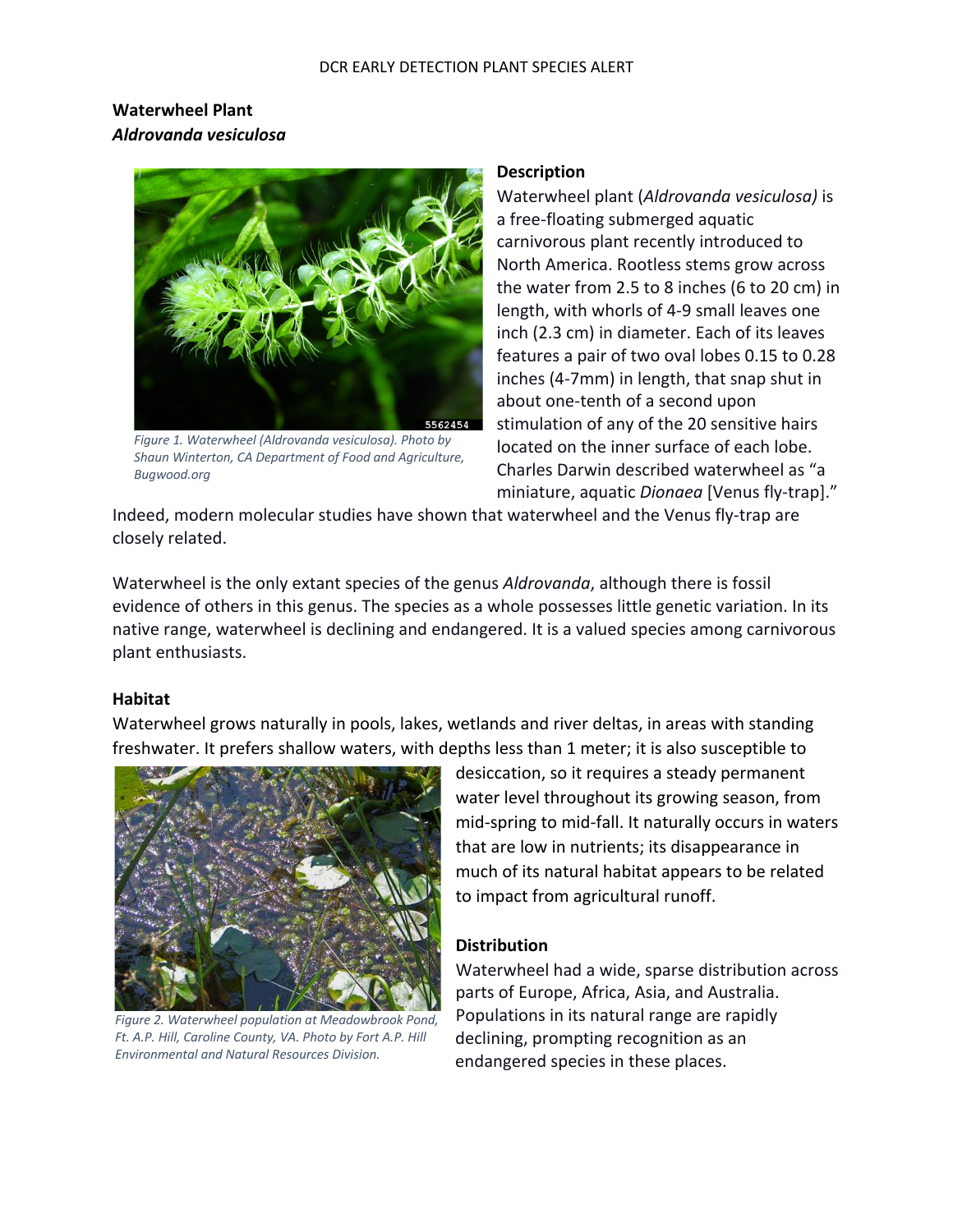# **Waterwheel Plant** *Aldrovanda vesiculosa*



*Figure 1. Waterwheel (Aldrovanda vesiculosa). Photo by Shaun Winterton, CA Department of Food and Agriculture, Bugwood.org*

#### **Description**

Waterwheel plant (*Aldrovanda vesiculosa)* is a free-floating submerged aquatic carnivorous plant recently introduced to North America. Rootless stems grow across the water from 2.5 to 8 inches (6 to 20 cm) in length, with whorls of 4-9 small leaves one inch (2.3 cm) in diameter. Each of its leaves features a pair of two oval lobes 0.15 to 0.28 inches (4-7mm) in length, that snap shut in about one-tenth of a second upon stimulation of any of the 20 sensitive hairs located on the inner surface of each lobe. Charles Darwin described waterwheel as "a miniature, aquatic *Dionaea* [Venus fly-trap]."

Indeed, modern molecular studies have shown that waterwheel and the Venus fly-trap are closely related.

Waterwheel is the only extant species of the genus *Aldrovanda*, although there is fossil evidence of others in this genus. The species as a whole possesses little genetic variation. In its native range, waterwheel is declining and endangered. It is a valued species among carnivorous plant enthusiasts.

### **Habitat**

Waterwheel grows naturally in pools, lakes, wetlands and river deltas, in areas with standing freshwater. It prefers shallow waters, with depths less than 1 meter; it is also susceptible to



*Figure 2. Waterwheel population at Meadowbrook Pond, Ft. A.P. Hill, Caroline County, VA. Photo by Fort A.P. Hill Environmental and Natural Resources Division.*

desiccation, so it requires a steady permanent water level throughout its growing season, from mid-spring to mid-fall. It naturally occurs in waters that are low in nutrients; its disappearance in much of its natural habitat appears to be related to impact from agricultural runoff.

### **Distribution**

Waterwheel had a wide, sparse distribution across parts of Europe, Africa, Asia, and Australia. Populations in its natural range are rapidly declining, prompting recognition as an endangered species in these places.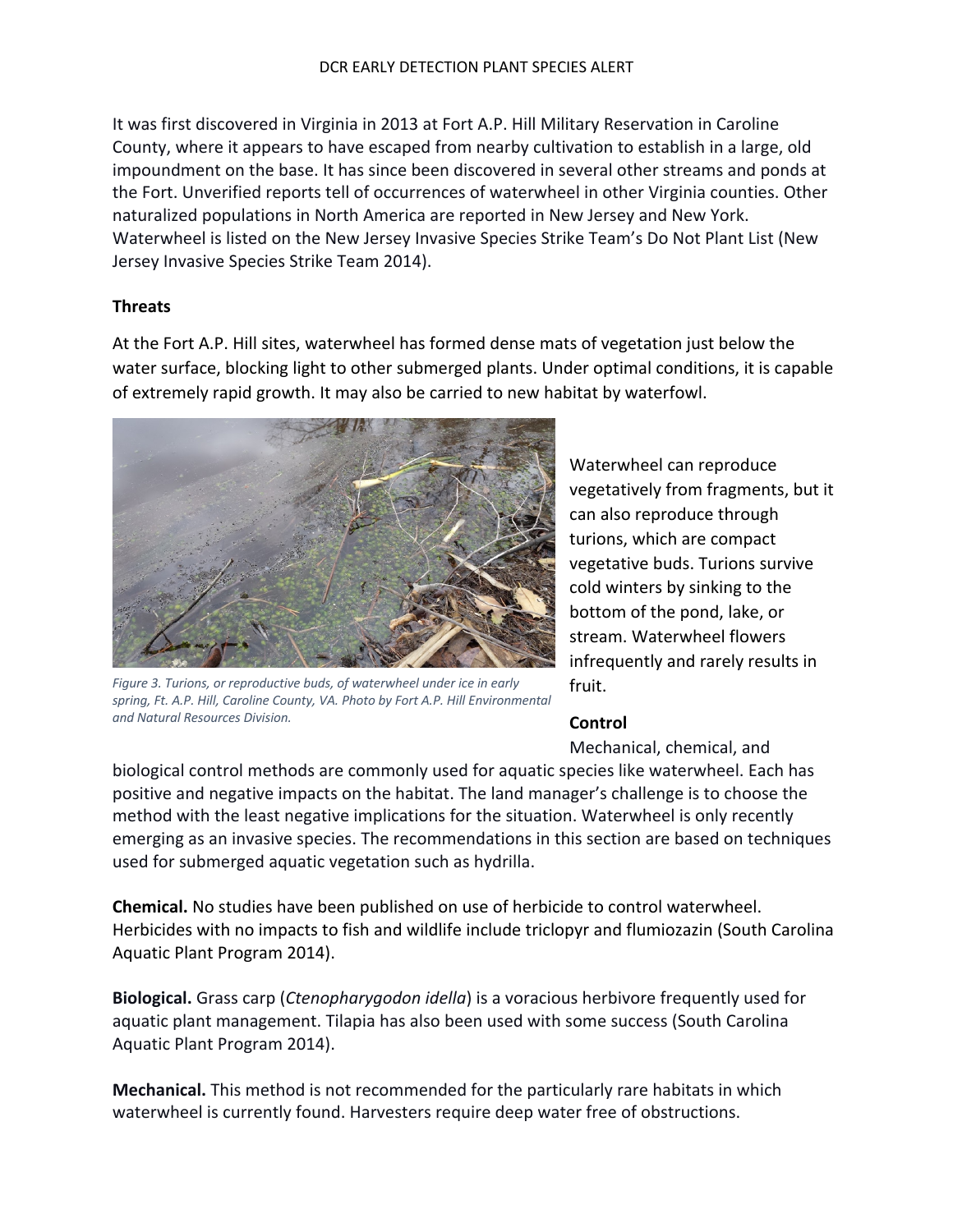It was first discovered in Virginia in 2013 at Fort A.P. Hill Military Reservation in Caroline County, where it appears to have escaped from nearby cultivation to establish in a large, old impoundment on the base. It has since been discovered in several other streams and ponds at the Fort. Unverified reports tell of occurrences of waterwheel in other Virginia counties. Other naturalized populations in North America are reported in New Jersey and New York. Waterwheel is listed on the New Jersey Invasive Species Strike Team's Do Not Plant List (New Jersey Invasive Species Strike Team 2014).

### **Threats**

At the Fort A.P. Hill sites, waterwheel has formed dense mats of vegetation just below the water surface, blocking light to other submerged plants. Under optimal conditions, it is capable of extremely rapid growth. It may also be carried to new habitat by waterfowl.



*Figure 3. Turions, or reproductive buds, of waterwheel under ice in early spring, Ft. A.P. Hill, Caroline County, VA. Photo by Fort A.P. Hill Environmental and Natural Resources Division.*

Waterwheel can reproduce vegetatively from fragments, but it can also reproduce through turions, which are compact vegetative buds. Turions survive cold winters by sinking to the bottom of the pond, lake, or stream. Waterwheel flowers infrequently and rarely results in fruit.

# **Control**

Mechanical, chemical, and

biological control methods are commonly used for aquatic species like waterwheel. Each has positive and negative impacts on the habitat. The land manager's challenge is to choose the method with the least negative implications for the situation. Waterwheel is only recently emerging as an invasive species. The recommendations in this section are based on techniques used for submerged aquatic vegetation such as hydrilla.

**Chemical.** No studies have been published on use of herbicide to control waterwheel. Herbicides with no impacts to fish and wildlife include triclopyr and flumiozazin (South Carolina Aquatic Plant Program 2014).

**Biological.** Grass carp (*Ctenopharygodon idella*) is a voracious herbivore frequently used for aquatic plant management. Tilapia has also been used with some success (South Carolina Aquatic Plant Program 2014).

**Mechanical.** This method is not recommended for the particularly rare habitats in which waterwheel is currently found. Harvesters require deep water free of obstructions.